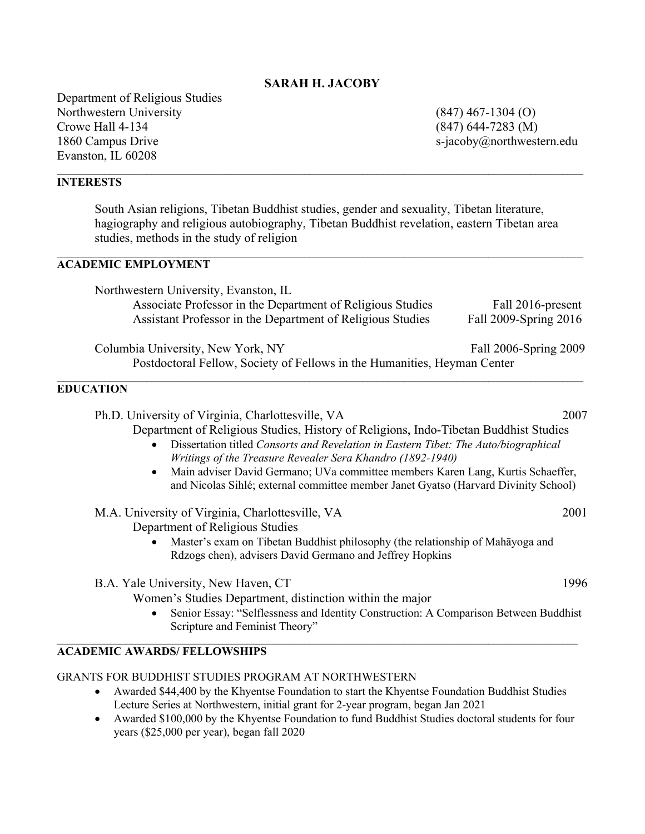### **SARAH H. JACOBY**

Department of Religious Studies Northwestern University (847) 467-1304 (O) Crowe Hall 4-134 (847) 644-7283 (M) 1860 Campus Drive states and the state state state state s-jacoby@northwestern.edu Evanston, IL 60208

### **INTERESTS**

South Asian religions, Tibetan Buddhist studies, gender and sexuality, Tibetan literature, hagiography and religious autobiography, Tibetan Buddhist revelation, eastern Tibetan area studies, methods in the study of religion

 $\mathcal{L}_\mathcal{L} = \mathcal{L}_\mathcal{L} = \mathcal{L}_\mathcal{L} = \mathcal{L}_\mathcal{L} = \mathcal{L}_\mathcal{L} = \mathcal{L}_\mathcal{L} = \mathcal{L}_\mathcal{L} = \mathcal{L}_\mathcal{L} = \mathcal{L}_\mathcal{L} = \mathcal{L}_\mathcal{L} = \mathcal{L}_\mathcal{L} = \mathcal{L}_\mathcal{L} = \mathcal{L}_\mathcal{L} = \mathcal{L}_\mathcal{L} = \mathcal{L}_\mathcal{L} = \mathcal{L}_\mathcal{L} = \mathcal{L}_\mathcal{L}$ 

 $\mathcal{L}_\mathcal{L} = \mathcal{L}_\mathcal{L} = \mathcal{L}_\mathcal{L} = \mathcal{L}_\mathcal{L} = \mathcal{L}_\mathcal{L} = \mathcal{L}_\mathcal{L} = \mathcal{L}_\mathcal{L} = \mathcal{L}_\mathcal{L} = \mathcal{L}_\mathcal{L} = \mathcal{L}_\mathcal{L} = \mathcal{L}_\mathcal{L} = \mathcal{L}_\mathcal{L} = \mathcal{L}_\mathcal{L} = \mathcal{L}_\mathcal{L} = \mathcal{L}_\mathcal{L} = \mathcal{L}_\mathcal{L} = \mathcal{L}_\mathcal{L}$ 

### **ACADEMIC EMPLOYMENT**

Northwestern University, Evanston, IL Associate Professor in the Department of Religious Studies Fall 2016-present Assistant Professor in the Department of Religious Studies Fall 2009-Spring 2016

Columbia University, New York, NYFall 2006-Spring 2009 Postdoctoral Fellow, Society of Fellows in the Humanities, Heyman Center

 $\mathcal{L}_\mathcal{L} = \mathcal{L}_\mathcal{L} = \mathcal{L}_\mathcal{L} = \mathcal{L}_\mathcal{L} = \mathcal{L}_\mathcal{L} = \mathcal{L}_\mathcal{L} = \mathcal{L}_\mathcal{L} = \mathcal{L}_\mathcal{L} = \mathcal{L}_\mathcal{L} = \mathcal{L}_\mathcal{L} = \mathcal{L}_\mathcal{L} = \mathcal{L}_\mathcal{L} = \mathcal{L}_\mathcal{L} = \mathcal{L}_\mathcal{L} = \mathcal{L}_\mathcal{L} = \mathcal{L}_\mathcal{L} = \mathcal{L}_\mathcal{L}$ 

# **EDUCATION**

Ph.D. University of Virginia, Charlottesville, VA 2007

Department of Religious Studies, History of Religions, Indo-Tibetan Buddhist Studies

- Dissertation titled *Consorts and Revelation in Eastern Tibet: The Auto/biographical Writings of the Treasure Revealer Sera Khandro (1892-1940)*
- Main adviser David Germano; UVa committee members Karen Lang, Kurtis Schaeffer, and Nicolas Sihlé; external committee member Janet Gyatso (Harvard Divinity School)

# M.A. University of Virginia, Charlottesville, VA 2001

Department of Religious Studies

• Master's exam on Tibetan Buddhist philosophy (the relationship of Mahāyoga and Rdzogs chen), advisers David Germano and Jeffrey Hopkins

#### B.A. Yale University, New Haven, CT 1996

Women's Studies Department, distinction within the major

• Senior Essay: "Selflessness and Identity Construction: A Comparison Between Buddhist Scripture and Feminist Theory"

### **ACADEMIC AWARDS/ FELLOWSHIPS**

GRANTS FOR BUDDHIST STUDIES PROGRAM AT NORTHWESTERN

• Awarded \$44,400 by the Khyentse Foundation to start the Khyentse Foundation Buddhist Studies Lecture Series at Northwestern, initial grant for 2-year program, began Jan 2021

**\_\_\_\_\_\_\_\_\_\_\_\_\_\_\_\_\_\_\_\_\_\_\_\_\_\_\_\_\_\_\_\_\_\_\_\_\_\_\_\_\_\_\_\_\_\_\_\_\_\_\_\_\_\_\_\_\_\_\_\_\_\_\_\_\_\_\_\_\_\_\_\_\_\_\_\_\_\_\_\_\_\_\_\_\_\_\_\_\_\_\_\_\_\_\_\_\_\_\_**

• Awarded \$100,000 by the Khyentse Foundation to fund Buddhist Studies doctoral students for four years (\$25,000 per year), began fall 2020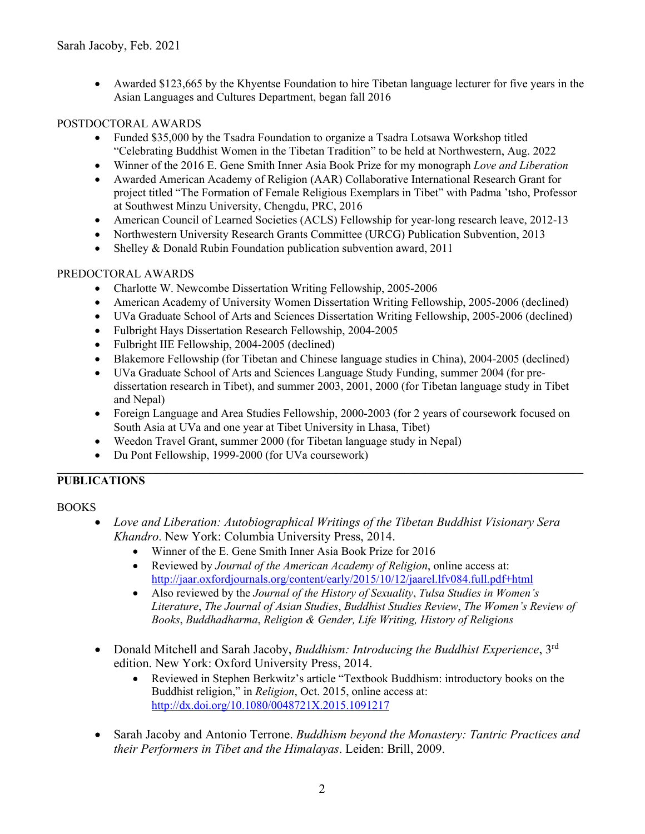• Awarded \$123,665 by the Khyentse Foundation to hire Tibetan language lecturer for five years in the Asian Languages and Cultures Department, began fall 2016

# POSTDOCTORAL AWARDS

- Funded \$35,000 by the Tsadra Foundation to organize a Tsadra Lotsawa Workshop titled "Celebrating Buddhist Women in the Tibetan Tradition" to be held at Northwestern, Aug. 2022
- Winner of the 2016 E. Gene Smith Inner Asia Book Prize for my monograph *Love and Liberation*
- Awarded American Academy of Religion (AAR) Collaborative International Research Grant for project titled "The Formation of Female Religious Exemplars in Tibet" with Padma 'tsho, Professor at Southwest Minzu University, Chengdu, PRC, 2016
- American Council of Learned Societies (ACLS) Fellowship for year-long research leave, 2012-13
- Northwestern University Research Grants Committee (URCG) Publication Subvention, 2013
- Shelley & Donald Rubin Foundation publication subvention award, 2011

### PREDOCTORAL AWARDS

- Charlotte W. Newcombe Dissertation Writing Fellowship, 2005-2006
- American Academy of University Women Dissertation Writing Fellowship, 2005-2006 (declined)
- UVa Graduate School of Arts and Sciences Dissertation Writing Fellowship, 2005-2006 (declined)
- Fulbright Hays Dissertation Research Fellowship, 2004-2005
- Fulbright IIE Fellowship, 2004-2005 (declined)
- Blakemore Fellowship (for Tibetan and Chinese language studies in China), 2004-2005 (declined)
- UVa Graduate School of Arts and Sciences Language Study Funding, summer 2004 (for predissertation research in Tibet), and summer 2003, 2001, 2000 (for Tibetan language study in Tibet and Nepal)
- Foreign Language and Area Studies Fellowship, 2000-2003 (for 2 years of coursework focused on South Asia at UVa and one year at Tibet University in Lhasa, Tibet)
- Weedon Travel Grant, summer 2000 (for Tibetan language study in Nepal)
- Du Pont Fellowship, 1999-2000 (for UVa coursework)

#### **\_\_\_\_\_\_\_\_\_\_\_\_\_\_\_\_\_\_\_\_\_\_\_\_\_\_\_\_\_\_\_\_\_\_\_\_\_\_\_\_\_\_\_\_\_\_\_\_\_\_\_\_\_\_\_\_\_\_\_\_\_\_\_\_\_\_\_\_\_\_\_\_\_\_\_\_\_\_\_\_\_\_\_\_\_\_\_\_\_\_\_\_\_\_\_\_\_\_\_\_ PUBLICATIONS**

**BOOKS** 

- *Love and Liberation: Autobiographical Writings of the Tibetan Buddhist Visionary Sera Khandro*. New York: Columbia University Press, 2014.
	- Winner of the E. Gene Smith Inner Asia Book Prize for 2016
	- Reviewed by *Journal of the American Academy of Religion*, online access at: http://jaar.oxfordjournals.org/content/early/2015/10/12/jaarel.lfv084.full.pdf+html
	- Also reviewed by the *Journal of the History of Sexuality*, *Tulsa Studies in Women's Literature*, *The Journal of Asian Studies*, *Buddhist Studies Review*, *The Women's Review of Books*, *Buddhadharma*, *Religion & Gender, Life Writing, History of Religions*
- Donald Mitchell and Sarah Jacoby, *Buddhism: Introducing the Buddhist Experience*, 3rd edition. New York: Oxford University Press, 2014.
	- Reviewed in Stephen Berkwitz's article "Textbook Buddhism: introductory books on the Buddhist religion," in *Religion*, Oct. 2015, online access at: http://dx.doi.org/10.1080/0048721X.2015.1091217
- Sarah Jacoby and Antonio Terrone. *Buddhism beyond the Monastery: Tantric Practices and their Performers in Tibet and the Himalayas*. Leiden: Brill, 2009.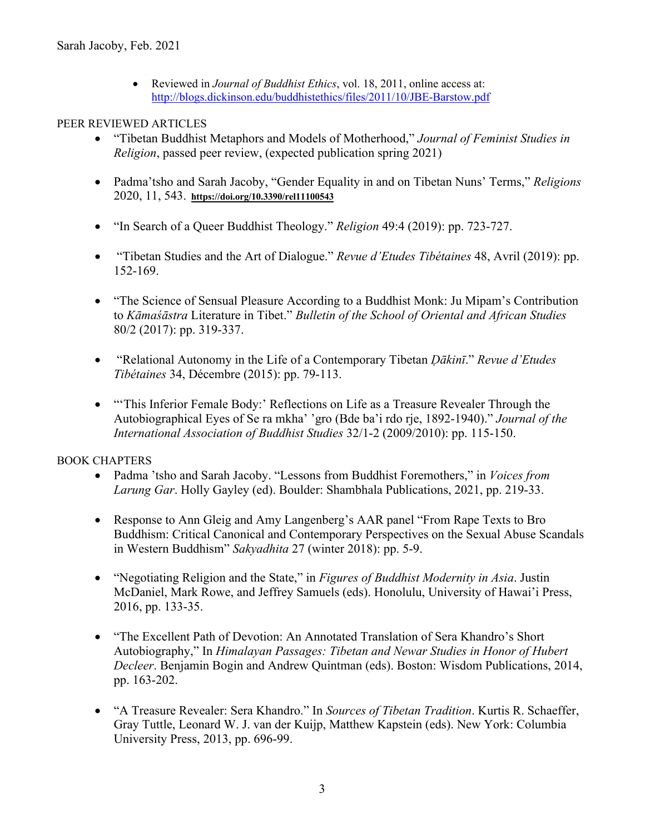• Reviewed in *Journal of Buddhist Ethics*, vol. 18, 2011, online access at: http://blogs.dickinson.edu/buddhistethics/files/2011/10/JBE-Barstow.pdf

### PEER REVIEWED ARTICLES

- "Tibetan Buddhist Metaphors and Models of Motherhood," *Journal of Feminist Studies in Religion*, passed peer review, (expected publication spring 2021)
- Padma'tsho and Sarah Jacoby, "Gender Equality in and on Tibetan Nuns' Terms," *Religions* 2020, 11, 543. **https://doi.org/10.3390/rel11100543**
- "In Search of a Queer Buddhist Theology." *Religion* 49:4 (2019): pp. 723-727.
- "Tibetan Studies and the Art of Dialogue." *Revue d'Etudes Tibétaines* 48, Avril (2019): pp. 152-169.
- "The Science of Sensual Pleasure According to a Buddhist Monk: Ju Mipam's Contribution to *Kāmaśāstra* Literature in Tibet." *Bulletin of the School of Oriental and African Studies* 80/2 (2017): pp. 319-337.
- "Relational Autonomy in the Life of a Contemporary Tibetan *Ḍākinī*." *Revue d'Etudes Tibétaines* 34, Décembre (2015): pp. 79-113.
- "This Inferior Female Body:' Reflections on Life as a Treasure Revealer Through the Autobiographical Eyes of Se ra mkha' 'gro (Bde ba'i rdo rje, 1892-1940)." *Journal of the International Association of Buddhist Studies* 32/1-2 (2009/2010): pp. 115-150.

# BOOK CHAPTERS

- Padma 'tsho and Sarah Jacoby. "Lessons from Buddhist Foremothers," in *Voices from Larung Gar*. Holly Gayley (ed). Boulder: Shambhala Publications, 2021, pp. 219-33.
- Response to Ann Gleig and Amy Langenberg's AAR panel "From Rape Texts to Bro Buddhism: Critical Canonical and Contemporary Perspectives on the Sexual Abuse Scandals in Western Buddhism" *Sakyadhita* 27 (winter 2018): pp. 5-9.
- "Negotiating Religion and the State," in *Figures of Buddhist Modernity in Asia*. Justin McDaniel, Mark Rowe, and Jeffrey Samuels (eds). Honolulu, University of Hawai'i Press, 2016, pp. 133-35.
- "The Excellent Path of Devotion: An Annotated Translation of Sera Khandro's Short Autobiography," In *Himalayan Passages: Tibetan and Newar Studies in Honor of Hubert Decleer*. Benjamin Bogin and Andrew Quintman (eds). Boston: Wisdom Publications, 2014, pp. 163-202.
- "A Treasure Revealer: Sera Khandro." In *Sources of Tibetan Tradition*. Kurtis R. Schaeffer, Gray Tuttle, Leonard W. J. van der Kuijp, Matthew Kapstein (eds). New York: Columbia University Press, 2013, pp. 696-99.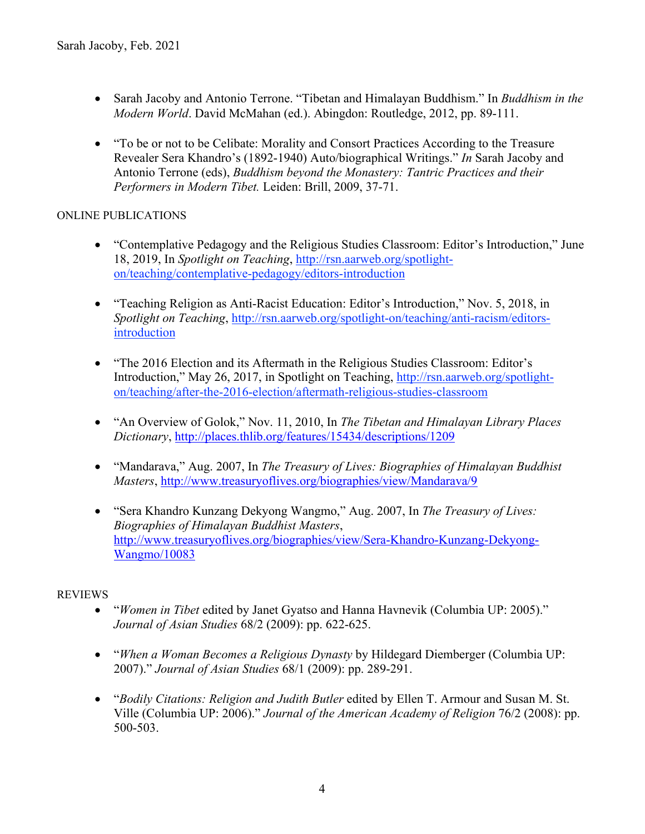- Sarah Jacoby and Antonio Terrone. "Tibetan and Himalayan Buddhism." In *Buddhism in the Modern World*. David McMahan (ed.). Abingdon: Routledge, 2012, pp. 89-111.
- "To be or not to be Celibate: Morality and Consort Practices According to the Treasure Revealer Sera Khandro's (1892-1940) Auto/biographical Writings." *In* Sarah Jacoby and Antonio Terrone (eds), *Buddhism beyond the Monastery: Tantric Practices and their Performers in Modern Tibet.* Leiden: Brill, 2009, 37-71.

# ONLINE PUBLICATIONS

- "Contemplative Pedagogy and the Religious Studies Classroom: Editor's Introduction," June 18, 2019, In *Spotlight on Teaching*, http://rsn.aarweb.org/spotlighton/teaching/contemplative-pedagogy/editors-introduction
- "Teaching Religion as Anti-Racist Education: Editor's Introduction," Nov. 5, 2018, in *Spotlight on Teaching*, http://rsn.aarweb.org/spotlight-on/teaching/anti-racism/editorsintroduction
- "The 2016 Election and its Aftermath in the Religious Studies Classroom: Editor's Introduction," May 26, 2017, in Spotlight on Teaching, http://rsn.aarweb.org/spotlighton/teaching/after-the-2016-election/aftermath-religious-studies-classroom
- "An Overview of Golok," Nov. 11, 2010, In *The Tibetan and Himalayan Library Places Dictionary*, http://places.thlib.org/features/15434/descriptions/1209
- "Mandarava," Aug. 2007, In *The Treasury of Lives: Biographies of Himalayan Buddhist Masters*, http://www.treasuryoflives.org/biographies/view/Mandarava/9
- "Sera Khandro Kunzang Dekyong Wangmo," Aug. 2007, In *The Treasury of Lives: Biographies of Himalayan Buddhist Masters*, http://www.treasuryoflives.org/biographies/view/Sera-Khandro-Kunzang-Dekyong-Wangmo/10083

# REVIEWS

- "*Women in Tibet* edited by Janet Gyatso and Hanna Havnevik (Columbia UP: 2005)." *Journal of Asian Studies* 68/2 (2009): pp. 622-625.
- "*When a Woman Becomes a Religious Dynasty* by Hildegard Diemberger (Columbia UP: 2007)." *Journal of Asian Studies* 68/1 (2009): pp. 289-291.
- "*Bodily Citations: Religion and Judith Butler* edited by Ellen T. Armour and Susan M. St. Ville (Columbia UP: 2006)." *Journal of the American Academy of Religion* 76/2 (2008): pp. 500-503.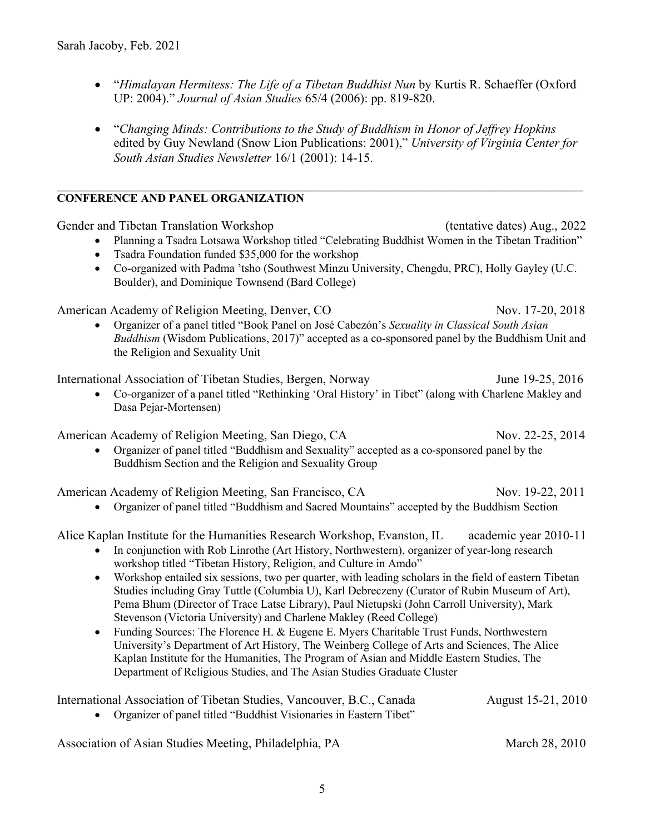- "*Himalayan Hermitess: The Life of a Tibetan Buddhist Nun* by Kurtis R. Schaeffer (Oxford UP: 2004)." *Journal of Asian Studies* 65/4 (2006): pp. 819-820.
- "*Changing Minds: Contributions to the Study of Buddhism in Honor of Jeffrey Hopkins* edited by Guy Newland (Snow Lion Publications: 2001)," *University of Virginia Center for South Asian Studies Newsletter* 16/1 (2001): 14-15.

# **CONFERENCE AND PANEL ORGANIZATION**

| Gender and Tibetan Translation Workshop                                                                                                                                                      | (tentative dates) Aug., 2022 |  |
|----------------------------------------------------------------------------------------------------------------------------------------------------------------------------------------------|------------------------------|--|
| Planning a Tsadra Lotsawa Workshop titled "Celebrating Buddhist Women in the Tibetan Tradition"                                                                                              |                              |  |
| Tsadra Foundation funded \$35,000 for the workshop<br>$\bullet$                                                                                                                              |                              |  |
| Co-organized with Padma 'tsho (Southwest Minzu University, Chengdu, PRC), Holly Gayley (U.C.                                                                                                 |                              |  |
| Boulder), and Dominique Townsend (Bard College)                                                                                                                                              |                              |  |
| American Academy of Religion Meeting, Denver, CO                                                                                                                                             | Nov. 17-20, 2018             |  |
| Organizer of a panel titled "Book Panel on José Cabezón's Sexuality in Classical South Asian                                                                                                 |                              |  |
| Buddhism (Wisdom Publications, 2017)" accepted as a co-sponsored panel by the Buddhism Unit and                                                                                              |                              |  |
| the Religion and Sexuality Unit                                                                                                                                                              |                              |  |
|                                                                                                                                                                                              |                              |  |
| International Association of Tibetan Studies, Bergen, Norway                                                                                                                                 | June 19-25, 2016             |  |
| Co-organizer of a panel titled "Rethinking 'Oral History' in Tibet" (along with Charlene Makley and                                                                                          |                              |  |
| Dasa Pejar-Mortensen)                                                                                                                                                                        |                              |  |
| American Academy of Religion Meeting, San Diego, CA                                                                                                                                          | Nov. 22-25, 2014             |  |
| Organizer of panel titled "Buddhism and Sexuality" accepted as a co-sponsored panel by the                                                                                                   |                              |  |
| Buddhism Section and the Religion and Sexuality Group                                                                                                                                        |                              |  |
|                                                                                                                                                                                              |                              |  |
| American Academy of Religion Meeting, San Francisco, CA                                                                                                                                      | Nov. 19-22, 2011             |  |
| Organizer of panel titled "Buddhism and Sacred Mountains" accepted by the Buddhism Section                                                                                                   |                              |  |
|                                                                                                                                                                                              |                              |  |
| Alice Kaplan Institute for the Humanities Research Workshop, Evanston, IL                                                                                                                    | academic year 2010-11        |  |
| In conjunction with Rob Linrothe (Art History, Northwestern), organizer of year-long research<br>$\bullet$                                                                                   |                              |  |
| workshop titled "Tibetan History, Religion, and Culture in Amdo"                                                                                                                             |                              |  |
| Workshop entailed six sessions, two per quarter, with leading scholars in the field of eastern Tibetan<br>$\bullet$                                                                          |                              |  |
| Studies including Gray Tuttle (Columbia U), Karl Debreczeny (Curator of Rubin Museum of Art),<br>Pema Bhum (Director of Trace Latse Library), Paul Nietupski (John Carroll University), Mark |                              |  |
| Stevenson (Victoria University) and Charlene Makley (Reed College)                                                                                                                           |                              |  |
| Funding Sources: The Florence H. & Eugene E. Myers Charitable Trust Funds, Northwestern<br>$\bullet$                                                                                         |                              |  |
| University's Department of Art History, The Weinberg College of Arts and Sciences, The Alice                                                                                                 |                              |  |
| Kaplan Institute for the Humanities, The Program of Asian and Middle Eastern Studies, The                                                                                                    |                              |  |
| Department of Religious Studies, and The Asian Studies Graduate Cluster                                                                                                                      |                              |  |
| International Association of Tibetan Studies, Vancouver, B.C., Canada                                                                                                                        | August 15-21, 2010           |  |
| Organizer of panel titled "Buddhist Visionaries in Eastern Tibet"                                                                                                                            |                              |  |
|                                                                                                                                                                                              |                              |  |
| Association of Asian Studies Meeting, Philadelphia, PA                                                                                                                                       | March 28, 2010               |  |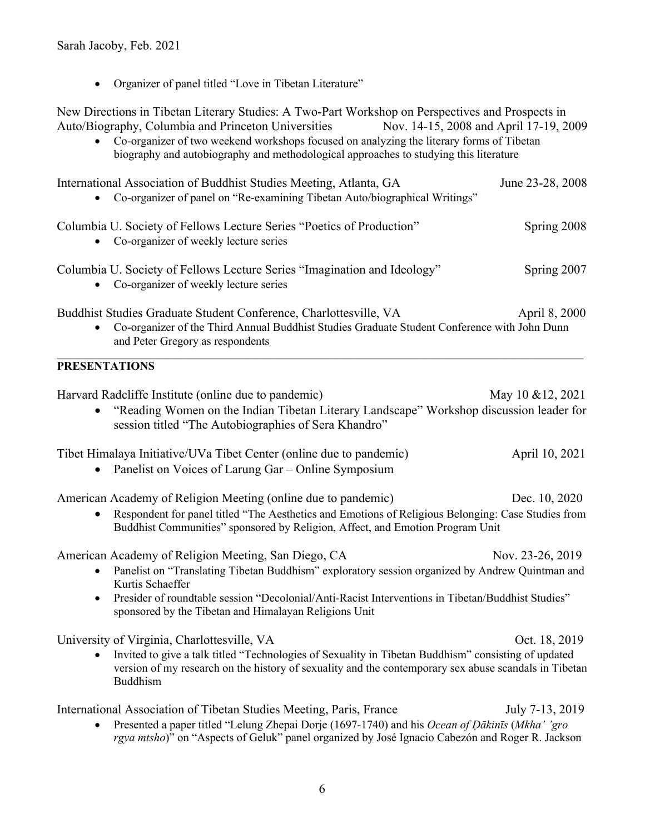• Organizer of panel titled "Love in Tibetan Literature"

New Directions in Tibetan Literary Studies: A Two-Part Workshop on Perspectives and Prospects in Auto/Biography, Columbia and Princeton Universities Nov. 14-15, 2008 and April 17-19, 2009

• Co-organizer of two weekend workshops focused on analyzing the literary forms of Tibetan biography and autobiography and methodological approaches to studying this literature

| International Association of Buddhist Studies Meeting, Atlanta, GA<br>Co-organizer of panel on "Re-examining Tibetan Auto/biographical Writings"<br>$\bullet$                                                      | June 23-28, 2008 |
|--------------------------------------------------------------------------------------------------------------------------------------------------------------------------------------------------------------------|------------------|
| Columbia U. Society of Fellows Lecture Series "Poetics of Production"<br>• Co-organizer of weekly lecture series                                                                                                   | Spring 2008      |
| Columbia U. Society of Fellows Lecture Series "Imagination and Ideology"<br>Co-organizer of weekly lecture series<br>$\bullet$                                                                                     | Spring 2007      |
| Buddhist Studies Graduate Student Conference, Charlottesville, VA<br>Co-organizer of the Third Annual Buddhist Studies Graduate Student Conference with John Dunn<br>$\bullet$<br>and Peter Gregory as respondents | April 8, 2000    |

# **PRESENTATIONS**

Harvard Radcliffe Institute (online due to pandemic) May 10 &12, 2021 • "Reading Women on the Indian Tibetan Literary Landscape" Workshop discussion leader for session titled "The Autobiographies of Sera Khandro" Tibet Himalaya Initiative/UVa Tibet Center (online due to pandemic) April 10, 2021 • Panelist on Voices of Larung Gar – Online Symposium American Academy of Religion Meeting (online due to pandemic) Dec. 10, 2020 • Respondent for panel titled "The Aesthetics and Emotions of Religious Belonging: Case Studies from Buddhist Communities" sponsored by Religion, Affect, and Emotion Program Unit American Academy of Religion Meeting, San Diego, CA Nov. 23-26, 2019 • Panelist on "Translating Tibetan Buddhism" exploratory session organized by Andrew Quintman and Kurtis Schaeffer • Presider of roundtable session "Decolonial/Anti-Racist Interventions in Tibetan/Buddhist Studies" sponsored by the Tibetan and Himalayan Religions Unit University of Virginia, Charlottesville, VA Oct. 18, 2019 • Invited to give a talk titled "Technologies of Sexuality in Tibetan Buddhism" consisting of updated version of my research on the history of sexuality and the contemporary sex abuse scandals in Tibetan Buddhism International Association of Tibetan Studies Meeting, Paris, France July 7-13, 2019 • Presented a paper titled "Lelung Zhepai Dorje (1697-1740) and his *Ocean of Ḍākinīs* (*Mkha' 'gro rgya mtsho*)" on "Aspects of Geluk" panel organized by José Ignacio Cabezón and Roger R. Jackson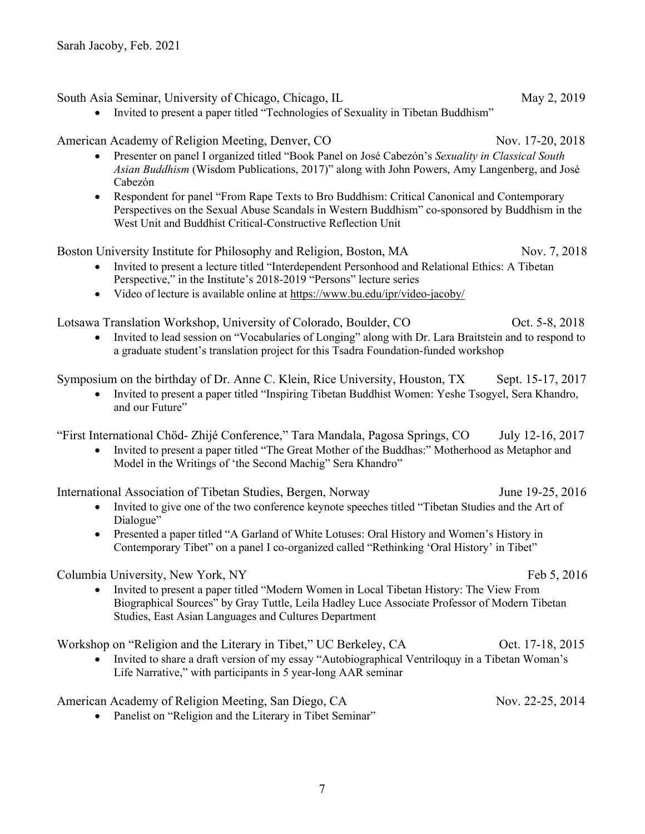South Asia Seminar, University of Chicago, Chicago, IL May 2, 2019

• Invited to present a paper titled "Technologies of Sexuality in Tibetan Buddhism"

American Academy of Religion Meeting, Denver, CO Nov. 17-20, 2018

- Presenter on panel I organized titled "Book Panel on José Cabezón's *Sexuality in Classical South Asian Buddhism* (Wisdom Publications, 2017)" along with John Powers, Amy Langenberg, and José Cabezón
- Respondent for panel "From Rape Texts to Bro Buddhism: Critical Canonical and Contemporary Perspectives on the Sexual Abuse Scandals in Western Buddhism" co-sponsored by Buddhism in the West Unit and Buddhist Critical-Constructive Reflection Unit

Boston University Institute for Philosophy and Religion, Boston, MA Nov. 7, 2018

- Invited to present a lecture titled "Interdependent Personhood and Relational Ethics: A Tibetan Perspective," in the Institute's 2018-2019 "Persons" lecture series
- Video of lecture is available online at https://www.bu.edu/ipr/video-jacoby/

Lotsawa Translation Workshop, University of Colorado, Boulder, CO Oct. 5-8, 2018

• Invited to lead session on "Vocabularies of Longing" along with Dr. Lara Braitstein and to respond to a graduate student's translation project for this Tsadra Foundation-funded workshop

Symposium on the birthday of Dr. Anne C. Klein, Rice University, Houston, TX Sept. 15-17, 2017

• Invited to present a paper titled "Inspiring Tibetan Buddhist Women: Yeshe Tsogyel, Sera Khandro, and our Future"

"First International Chöd- Zhijé Conference," Tara Mandala, Pagosa Springs, CO July 12-16, 2017

• Invited to present a paper titled "The Great Mother of the Buddhas:" Motherhood as Metaphor and Model in the Writings of 'the Second Machig" Sera Khandro"

International Association of Tibetan Studies, Bergen, Norway June 19-25, 2016

- Invited to give one of the two conference keynote speeches titled "Tibetan Studies and the Art of Dialogue"
- Presented a paper titled "A Garland of White Lotuses: Oral History and Women's History in Contemporary Tibet" on a panel I co-organized called "Rethinking 'Oral History' in Tibet"

Columbia University, New York, NY Feb 5, 2016

• Invited to present a paper titled "Modern Women in Local Tibetan History: The View From Biographical Sources" by Gray Tuttle, Leila Hadley Luce Associate Professor of Modern Tibetan Studies, East Asian Languages and Cultures Department

Workshop on "Religion and the Literary in Tibet," UC Berkeley, CA Oct. 17-18, 2015

• Invited to share a draft version of my essay "Autobiographical Ventriloquy in a Tibetan Woman's Life Narrative," with participants in 5 year-long AAR seminar

American Academy of Religion Meeting, San Diego, CA Nov. 22-25, 2014

• Panelist on "Religion and the Literary in Tibet Seminar"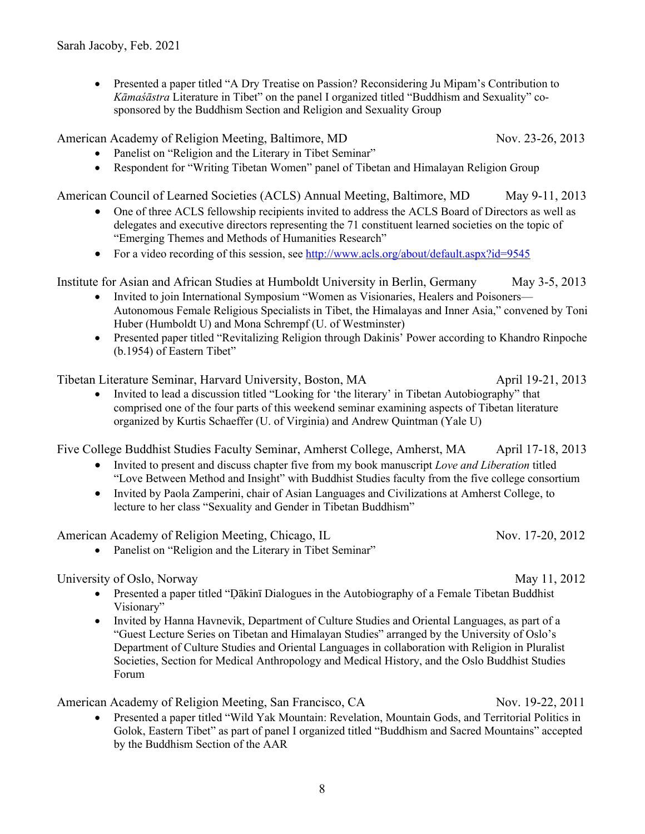• Presented a paper titled "A Dry Treatise on Passion? Reconsidering Ju Mipam's Contribution to *Kāmaśāstra* Literature in Tibet" on the panel I organized titled "Buddhism and Sexuality" cosponsored by the Buddhism Section and Religion and Sexuality Group

American Academy of Religion Meeting, Baltimore, MD Nov. 23-26, 2013

- Panelist on "Religion and the Literary in Tibet Seminar"
- Respondent for "Writing Tibetan Women" panel of Tibetan and Himalayan Religion Group

American Council of Learned Societies (ACLS) Annual Meeting, Baltimore, MD May 9-11, 2013

- One of three ACLS fellowship recipients invited to address the ACLS Board of Directors as well as delegates and executive directors representing the 71 constituent learned societies on the topic of "Emerging Themes and Methods of Humanities Research"
- For a video recording of this session, see http://www.acls.org/about/default.aspx?id=9545

Institute for Asian and African Studies at Humboldt University in Berlin, Germany May 3-5, 2013

- Invited to join International Symposium "Women as Visionaries, Healers and Poisoners— Autonomous Female Religious Specialists in Tibet, the Himalayas and Inner Asia," convened by Toni Huber (Humboldt U) and Mona Schrempf (U. of Westminster)
- Presented paper titled "Revitalizing Religion through Dakinis' Power according to Khandro Rinpoche (b.1954) of Eastern Tibet"

Tibetan Literature Seminar, Harvard University, Boston, MA April 19-21, 2013

• Invited to lead a discussion titled "Looking for 'the literary' in Tibetan Autobiography" that comprised one of the four parts of this weekend seminar examining aspects of Tibetan literature organized by Kurtis Schaeffer (U. of Virginia) and Andrew Quintman (Yale U)

Five College Buddhist Studies Faculty Seminar, Amherst College, Amherst, MA April 17-18, 2013

- Invited to present and discuss chapter five from my book manuscript *Love and Liberation* titled "Love Between Method and Insight" with Buddhist Studies faculty from the five college consortium
- Invited by Paola Zamperini, chair of Asian Languages and Civilizations at Amherst College, to lecture to her class "Sexuality and Gender in Tibetan Buddhism"

American Academy of Religion Meeting, Chicago, IL Nov. 17-20, 2012

• Panelist on "Religion and the Literary in Tibet Seminar"

University of Oslo, Norway May 11, 2012

- Presented a paper titled "Dākinī Dialogues in the Autobiography of a Female Tibetan Buddhist Visionary"
- Invited by Hanna Havnevik, Department of Culture Studies and Oriental Languages, as part of a "Guest Lecture Series on Tibetan and Himalayan Studies" arranged by the University of Oslo's Department of Culture Studies and Oriental Languages in collaboration with Religion in Pluralist Societies, Section for Medical Anthropology and Medical History, and the Oslo Buddhist Studies Forum

American Academy of Religion Meeting, San Francisco, CA Nov. 19-22, 2011

• Presented a paper titled "Wild Yak Mountain: Revelation, Mountain Gods, and Territorial Politics in Golok, Eastern Tibet" as part of panel I organized titled "Buddhism and Sacred Mountains" accepted by the Buddhism Section of the AAR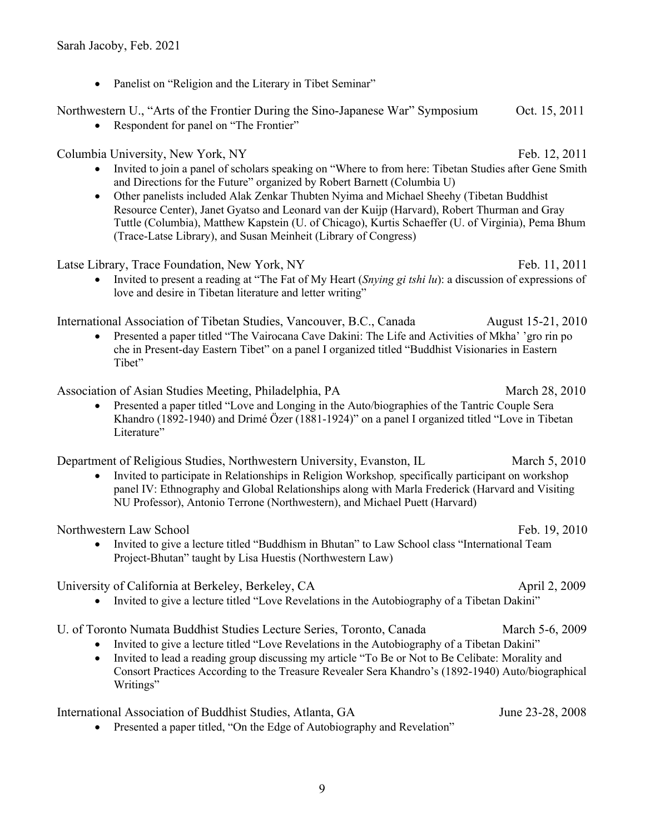• Panelist on "Religion and the Literary in Tibet Seminar"

Northwestern U., "Arts of the Frontier During the Sino-Japanese War" Symposium Oct. 15, 2011

• Respondent for panel on "The Frontier"

Columbia University, New York, NY Feb. 12, 2011

- Invited to join a panel of scholars speaking on "Where to from here: Tibetan Studies after Gene Smith and Directions for the Future" organized by Robert Barnett (Columbia U)
- Other panelists included Alak Zenkar Thubten Nyima and Michael Sheehy (Tibetan Buddhist Resource Center), Janet Gyatso and Leonard van der Kuijp (Harvard), Robert Thurman and Gray Tuttle (Columbia), Matthew Kapstein (U. of Chicago), Kurtis Schaeffer (U. of Virginia), Pema Bhum (Trace-Latse Library), and Susan Meinheit (Library of Congress)

Latse Library, Trace Foundation, New York, NY Feb. 11, 2011

• Invited to present a reading at "The Fat of My Heart (*Snying gi tshi lu*): a discussion of expressions of love and desire in Tibetan literature and letter writing"

International Association of Tibetan Studies, Vancouver, B.C., Canada August 15-21, 2010

• Presented a paper titled "The Vairocana Cave Dakini: The Life and Activities of Mkha' 'gro rin po che in Present-day Eastern Tibet" on a panel I organized titled "Buddhist Visionaries in Eastern Tibet"

Association of Asian Studies Meeting, Philadelphia, PA March 28, 2010

• Presented a paper titled "Love and Longing in the Auto/biographies of the Tantric Couple Sera Khandro (1892-1940) and Drimé Özer (1881-1924)" on a panel I organized titled "Love in Tibetan Literature"

Department of Religious Studies, Northwestern University, Evanston, IL March 5, 2010

• Invited to participate in Relationships in Religion Workshop*,* specifically participant on workshop panel IV: Ethnography and Global Relationships along with Marla Frederick (Harvard and Visiting NU Professor), Antonio Terrone (Northwestern), and Michael Puett (Harvard)

Northwestern Law School **Feb. 19, 2010** Feb. 19, 2010

• Invited to give a lecture titled "Buddhism in Bhutan" to Law School class "International Team Project-Bhutan" taught by Lisa Huestis (Northwestern Law)

University of California at Berkeley, Berkeley, CA April 2, 2009

• Invited to give a lecture titled "Love Revelations in the Autobiography of a Tibetan Dakini"

U. of Toronto Numata Buddhist Studies Lecture Series, Toronto, Canada March 5-6, 2009

- Invited to give a lecture titled "Love Revelations in the Autobiography of a Tibetan Dakini"
- Invited to lead a reading group discussing my article "To Be or Not to Be Celibate: Morality and Consort Practices According to the Treasure Revealer Sera Khandro's (1892-1940) Auto/biographical Writings"

International Association of Buddhist Studies, Atlanta, GA June 23-28, 2008

• Presented a paper titled, "On the Edge of Autobiography and Revelation"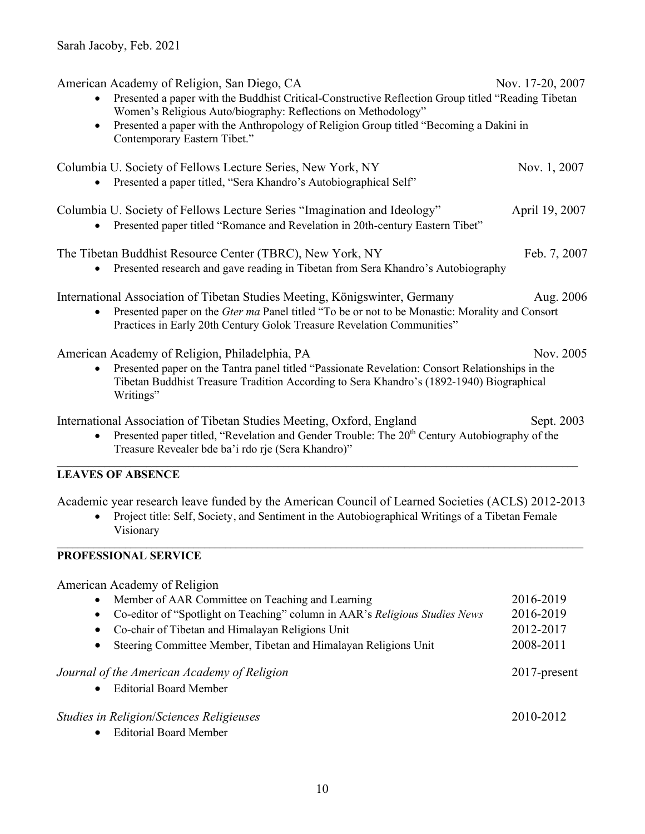| American Academy of Religion, San Diego, CA                                                                                                                                                              | Nov. 17-20, 2007 |  |
|----------------------------------------------------------------------------------------------------------------------------------------------------------------------------------------------------------|------------------|--|
| Presented a paper with the Buddhist Critical-Constructive Reflection Group titled "Reading Tibetan                                                                                                       |                  |  |
| Women's Religious Auto/biography: Reflections on Methodology"                                                                                                                                            |                  |  |
| Presented a paper with the Anthropology of Religion Group titled "Becoming a Dakini in<br>$\bullet$                                                                                                      |                  |  |
| Contemporary Eastern Tibet."                                                                                                                                                                             |                  |  |
| Columbia U. Society of Fellows Lecture Series, New York, NY                                                                                                                                              | Nov. 1, 2007     |  |
| Presented a paper titled, "Sera Khandro's Autobiographical Self"                                                                                                                                         |                  |  |
|                                                                                                                                                                                                          |                  |  |
| Columbia U. Society of Fellows Lecture Series "Imagination and Ideology"                                                                                                                                 | April 19, 2007   |  |
| Presented paper titled "Romance and Revelation in 20th-century Eastern Tibet"                                                                                                                            |                  |  |
|                                                                                                                                                                                                          |                  |  |
| The Tibetan Buddhist Resource Center (TBRC), New York, NY                                                                                                                                                | Feb. 7, 2007     |  |
| Presented research and gave reading in Tibetan from Sera Khandro's Autobiography                                                                                                                         |                  |  |
| International Association of Tibetan Studies Meeting, Königswinter, Germany                                                                                                                              | Aug. 2006        |  |
| Presented paper on the Gter ma Panel titled "To be or not to be Monastic: Morality and Consort                                                                                                           |                  |  |
| Practices in Early 20th Century Golok Treasure Revelation Communities"                                                                                                                                   |                  |  |
|                                                                                                                                                                                                          |                  |  |
| American Academy of Religion, Philadelphia, PA<br>Nov. 2005                                                                                                                                              |                  |  |
| Presented paper on the Tantra panel titled "Passionate Revelation: Consort Relationships in the<br>$\bullet$<br>Tibetan Buddhist Treasure Tradition According to Sera Khandro's (1892-1940) Biographical |                  |  |
| Writings"                                                                                                                                                                                                |                  |  |
|                                                                                                                                                                                                          |                  |  |
| International Association of Tibetan Studies Meeting, Oxford, England                                                                                                                                    | Sept. 2003       |  |
| Presented paper titled, "Revelation and Gender Trouble: The 20 <sup>th</sup> Century Autobiography of the<br>$\bullet$                                                                                   |                  |  |
| Treasure Revealer bde ba'i rdo rje (Sera Khandro)"                                                                                                                                                       |                  |  |
| <b>LEAVES OF ABSENCE</b>                                                                                                                                                                                 |                  |  |
|                                                                                                                                                                                                          |                  |  |
| Academic year research leave funded by the American Council of Learned Societies (ACLS) 2012-2013                                                                                                        |                  |  |
| Project title: Self, Society, and Sentiment in the Autobiographical Writings of a Tibetan Female<br>$\bullet$                                                                                            |                  |  |
| Visionary                                                                                                                                                                                                |                  |  |
| PROFESSIONAL SERVICE                                                                                                                                                                                     |                  |  |
|                                                                                                                                                                                                          |                  |  |
| American Academy of Religion                                                                                                                                                                             |                  |  |
| Member of AAR Committee on Teaching and Learning<br>$\bullet$                                                                                                                                            | 2016-2019        |  |
| Co-editor of "Spotlight on Teaching" column in AAR's Religious Studies News<br>$\bullet$                                                                                                                 | 2016-2019        |  |
| Co-chair of Tibetan and Himalayan Religions Unit                                                                                                                                                         | 2012-2017        |  |

• Steering Committee Member, Tibetan and Himalayan Religions Unit 2008-2011

*Journal of the American Academy of Religion* 2017-present

• Editorial Board Member

# *Studies in Religion*/*Sciences Religieuses* 2010-2012

• Editorial Board Member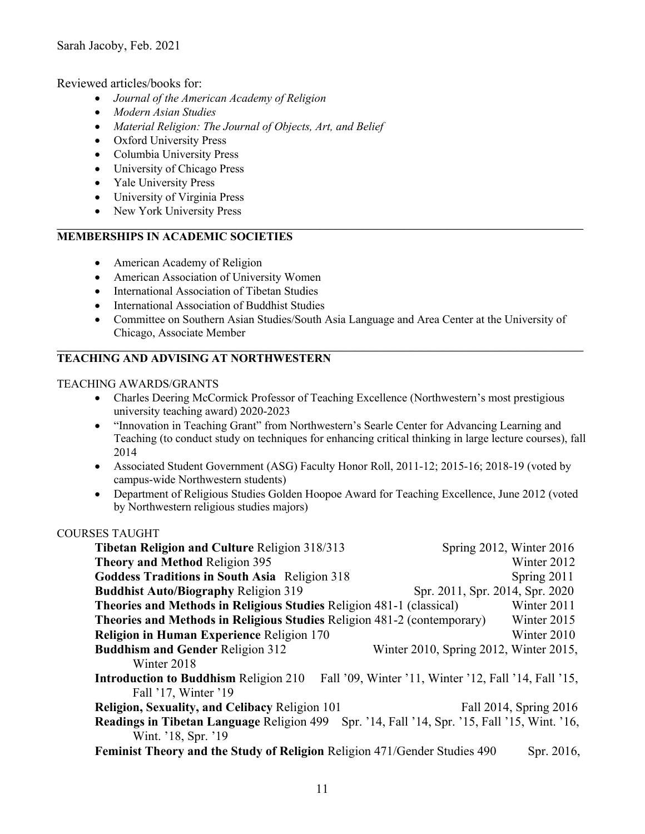Reviewed articles/books for:

- *Journal of the American Academy of Religion*
- *Modern Asian Studies*
- *Material Religion: The Journal of Objects, Art, and Belief*
- Oxford University Press
- Columbia University Press
- University of Chicago Press
- Yale University Press
- University of Virginia Press
- New York University Press

### **MEMBERSHIPS IN ACADEMIC SOCIETIES**

- American Academy of Religion
- American Association of University Women
- International Association of Tibetan Studies
- International Association of Buddhist Studies
- Committee on Southern Asian Studies/South Asia Language and Area Center at the University of Chicago, Associate Member

**\_\_\_\_\_\_\_\_\_\_\_\_\_\_\_\_\_\_\_\_\_\_\_\_\_\_\_\_\_\_\_\_\_\_\_\_\_\_\_\_\_\_\_\_\_\_\_\_\_\_\_\_\_\_\_\_\_\_\_\_\_\_\_\_\_\_\_\_\_\_\_\_\_\_\_\_\_\_\_\_\_\_\_\_\_\_\_\_\_\_\_\_\_\_\_\_\_\_\_\_**

**\_\_\_\_\_\_\_\_\_\_\_\_\_\_\_\_\_\_\_\_\_\_\_\_\_\_\_\_\_\_\_\_\_\_\_\_\_\_\_\_\_\_\_\_\_\_\_\_\_\_\_\_\_\_\_\_\_\_\_\_\_\_\_\_\_\_\_\_\_\_\_\_\_\_\_\_\_\_\_\_\_\_\_\_\_\_\_\_\_\_\_\_\_\_\_\_\_\_\_\_**

# **TEACHING AND ADVISING AT NORTHWESTERN**

#### TEACHING AWARDS/GRANTS

- Charles Deering McCormick Professor of Teaching Excellence (Northwestern's most prestigious university teaching award) 2020-2023
- "Innovation in Teaching Grant" from Northwestern's Searle Center for Advancing Learning and Teaching (to conduct study on techniques for enhancing critical thinking in large lecture courses), fall 2014
- Associated Student Government (ASG) Faculty Honor Roll, 2011-12; 2015-16; 2018-19 (voted by campus-wide Northwestern students)
- Department of Religious Studies Golden Hoopoe Award for Teaching Excellence, June 2012 (voted by Northwestern religious studies majors)

#### COURSES TAUGHT

| Tibetan Religion and Culture Religion 318/313                                    | Spring 2012, Winter 2016                              |
|----------------------------------------------------------------------------------|-------------------------------------------------------|
| <b>Theory and Method Religion 395</b>                                            | Winter 2012                                           |
| Goddess Traditions in South Asia Religion 318                                    | Spring 2011                                           |
| <b>Buddhist Auto/Biography Religion 319</b>                                      | Spr. 2011, Spr. 2014, Spr. 2020                       |
| Theories and Methods in Religious Studies Religion 481-1 (classical)             | Winter 2011                                           |
| <b>Theories and Methods in Religious Studies Religion 481-2 (contemporary)</b>   | Winter 2015                                           |
| <b>Religion in Human Experience Religion 170</b>                                 | Winter 2010                                           |
| <b>Buddhism and Gender Religion 312</b>                                          | Winter 2010, Spring 2012, Winter 2015,                |
| Winter 2018                                                                      |                                                       |
| <b>Introduction to Buddhism Religion 210</b><br>Fall '17, Winter '19             | Fall '09, Winter '11, Winter '12, Fall '14, Fall '15, |
| Religion, Sexuality, and Celibacy Religion 101                                   | Fall 2014, Spring 2016                                |
| <b>Readings in Tibetan Language Religion 499</b><br>Wint. '18, Spr. '19          | Spr. '14, Fall '14, Spr. '15, Fall '15, Wint. '16,    |
| <b>Feminist Theory and the Study of Religion Religion 471/Gender Studies 490</b> | Spr. 2016,                                            |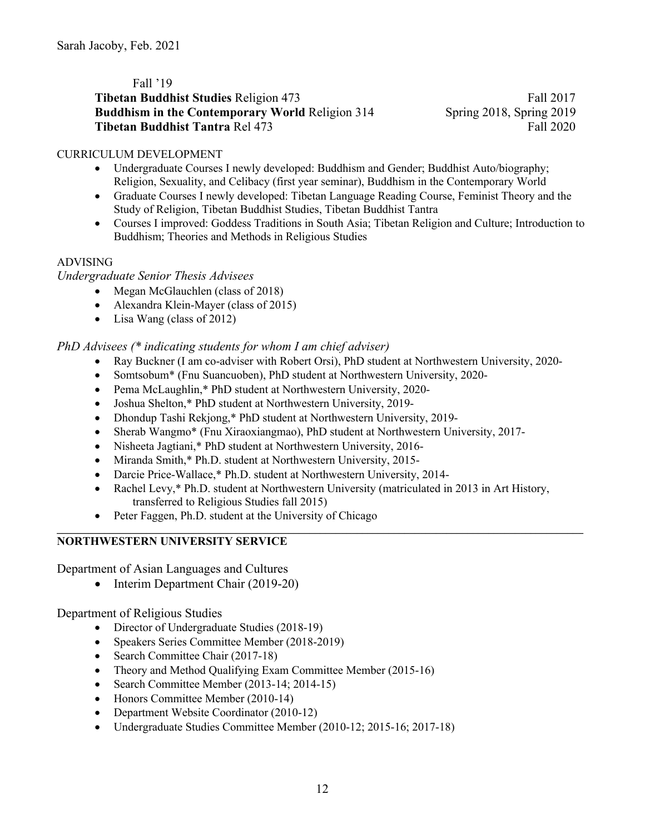# Fall '19 **Tibetan Buddhist Studies** Religion 473 Fall 2017 **Buddhism in the Contemporary World** Religion 314 Spring 2018, Spring 2019 **Tibetan Buddhist Tantra** Rel 473 Fall 2020

# CURRICULUM DEVELOPMENT

- Undergraduate Courses I newly developed: Buddhism and Gender; Buddhist Auto/biography; Religion, Sexuality, and Celibacy (first year seminar), Buddhism in the Contemporary World
- Graduate Courses I newly developed: Tibetan Language Reading Course, Feminist Theory and the Study of Religion, Tibetan Buddhist Studies, Tibetan Buddhist Tantra
- Courses I improved: Goddess Traditions in South Asia; Tibetan Religion and Culture; Introduction to Buddhism; Theories and Methods in Religious Studies

# ADVISING

*Undergraduate Senior Thesis Advisees*

- Megan McGlauchlen (class of 2018)
- Alexandra Klein-Mayer (class of 2015)
- Lisa Wang (class of 2012)

# *PhD Advisees (\* indicating students for whom I am chief adviser)*

- Ray Buckner (I am co-adviser with Robert Orsi), PhD student at Northwestern University, 2020-
- Somtsobum<sup>\*</sup> (Fnu Suancuoben), PhD student at Northwestern University, 2020-
- Pema McLaughlin,\* PhD student at Northwestern University, 2020-
- Joshua Shelton,\* PhD student at Northwestern University, 2019-
- Dhondup Tashi Rekjong,\* PhD student at Northwestern University, 2019-
- Sherab Wangmo\* (Fnu Xiraoxiangmao), PhD student at Northwestern University, 2017-
- Nisheeta Jagtiani,\* PhD student at Northwestern University, 2016-
- Miranda Smith,\* Ph.D. student at Northwestern University, 2015-
- Darcie Price-Wallace,\* Ph.D. student at Northwestern University, 2014-
- Rachel Levy,<sup>\*</sup> Ph.D. student at Northwestern University (matriculated in 2013 in Art History, transferred to Religious Studies fall 2015)
- Peter Faggen, Ph.D. student at the University of Chicago

# **NORTHWESTERN UNIVERSITY SERVICE**

Department of Asian Languages and Cultures

• Interim Department Chair (2019-20)

# Department of Religious Studies

- Director of Undergraduate Studies (2018-19)
- Speakers Series Committee Member (2018-2019)
- Search Committee Chair (2017-18)
- Theory and Method Qualifying Exam Committee Member (2015-16)
- Search Committee Member (2013-14; 2014-15)
- Honors Committee Member (2010-14)
- Department Website Coordinator (2010-12)
- Undergraduate Studies Committee Member (2010-12; 2015-16; 2017-18)